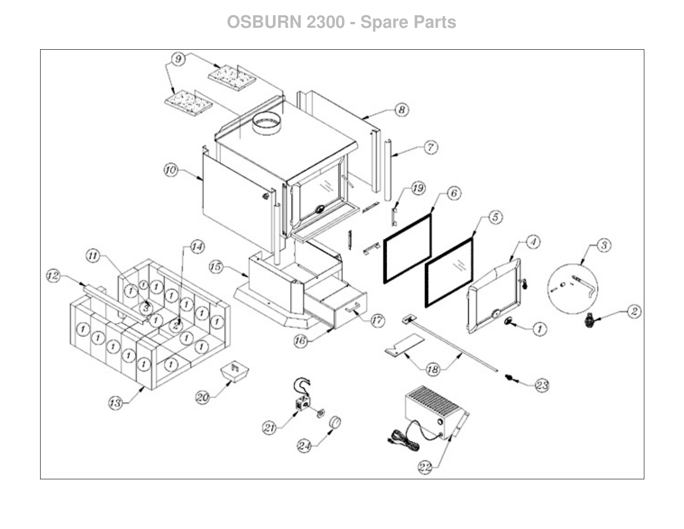## **OSBURN 2300 - Spare Parts**